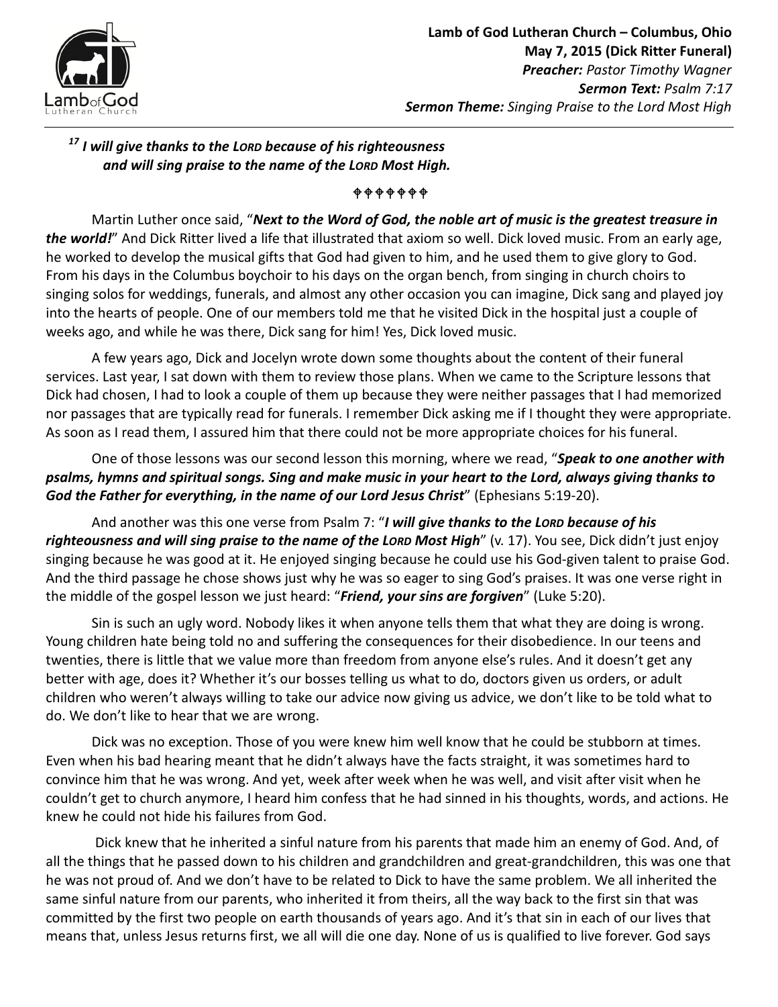

# $17$  I will give thanks to the LORD because of his righteousness and will sing praise to the name of the LORD Most High.

#### *\*\*\*\*\*\*\**

Martin Luther once said, "Next to the Word of God, the noble art of music is the greatest treasure in the world!" And Dick Ritter lived a life that illustrated that axiom so well. Dick loved music. From an early age, he worked to develop the musical gifts that God had given to him, and he used them to give glory to God. From his days in the Columbus boychoir to his days on the organ bench, from singing in church choirs to singing solos for weddings, funerals, and almost any other occasion you can imagine, Dick sang and played joy into the hearts of people. One of our members told me that he visited Dick in the hospital just a couple of weeks ago, and while he was there, Dick sang for him! Yes, Dick loved music.

A few years ago, Dick and Jocelyn wrote down some thoughts about the content of their funeral services. Last year, I sat down with them to review those plans. When we came to the Scripture lessons that Dick had chosen, I had to look a couple of them up because they were neither passages that I had memorized nor passages that are typically read for funerals. I remember Dick asking me if I thought they were appropriate. As soon as I read them, I assured him that there could not be more appropriate choices for his funeral.

One of those lessons was our second lesson this morning, where we read, "Speak to one another with psalms, hymns and spiritual songs. Sing and make music in your heart to the Lord, always giving thanks to God the Father for everything, in the name of our Lord Jesus Christ" (Ephesians 5:19-20).

And another was this one verse from Psalm 7: "I will give thanks to the LORD because of his righteousness and will sing praise to the name of the Loro Most High" (v. 17). You see, Dick didn't just enjoy singing because he was good at it. He enjoyed singing because he could use his God-given talent to praise God. And the third passage he chose shows just why he was so eager to sing God's praises. It was one verse right in the middle of the gospel lesson we just heard: "Friend, your sins are forgiven" (Luke 5:20).

Sin is such an ugly word. Nobody likes it when anyone tells them that what they are doing is wrong. Young children hate being told no and suffering the consequences for their disobedience. In our teens and twenties, there is little that we value more than freedom from anyone else's rules. And it doesn't get any better with age, does it? Whether it's our bosses telling us what to do, doctors given us orders, or adult children who weren't always willing to take our advice now giving us advice, we don't like to be told what to do. We don't like to hear that we are wrong.

Dick was no exception. Those of you were knew him well know that he could be stubborn at times. Even when his bad hearing meant that he didn't always have the facts straight, it was sometimes hard to convince him that he was wrong. And yet, week after week when he was well, and visit after visit when he couldn't get to church anymore, I heard him confess that he had sinned in his thoughts, words, and actions. He knew he could not hide his failures from God.

 Dick knew that he inherited a sinful nature from his parents that made him an enemy of God. And, of all the things that he passed down to his children and grandchildren and great-grandchildren, this was one that he was not proud of. And we don't have to be related to Dick to have the same problem. We all inherited the same sinful nature from our parents, who inherited it from theirs, all the way back to the first sin that was committed by the first two people on earth thousands of years ago. And it's that sin in each of our lives that means that, unless Jesus returns first, we all will die one day. None of us is qualified to live forever. God says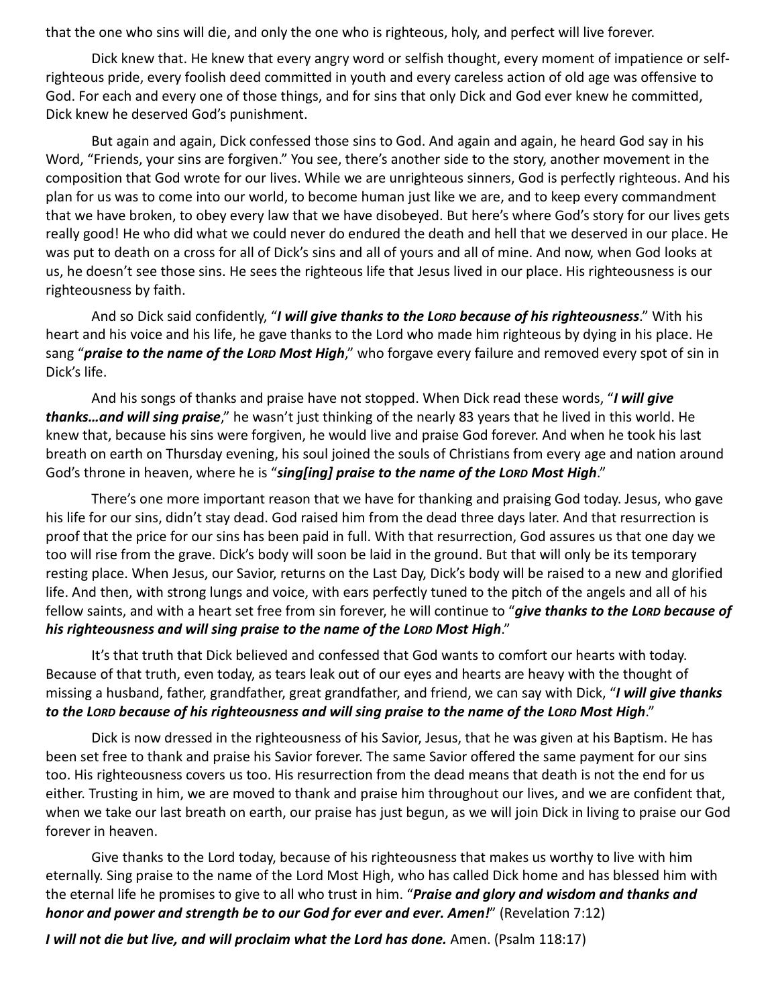that the one who sins will die, and only the one who is righteous, holy, and perfect will live forever.

Dick knew that. He knew that every angry word or selfish thought, every moment of impatience or selfrighteous pride, every foolish deed committed in youth and every careless action of old age was offensive to God. For each and every one of those things, and for sins that only Dick and God ever knew he committed, Dick knew he deserved God's punishment.

But again and again, Dick confessed those sins to God. And again and again, he heard God say in his Word, "Friends, your sins are forgiven." You see, there's another side to the story, another movement in the composition that God wrote for our lives. While we are unrighteous sinners, God is perfectly righteous. And his plan for us was to come into our world, to become human just like we are, and to keep every commandment that we have broken, to obey every law that we have disobeyed. But here's where God's story for our lives gets really good! He who did what we could never do endured the death and hell that we deserved in our place. He was put to death on a cross for all of Dick's sins and all of yours and all of mine. And now, when God looks at us, he doesn't see those sins. He sees the righteous life that Jesus lived in our place. His righteousness is our righteousness by faith.

And so Dick said confidently, "I will give thanks to the Lorp because of his righteousness." With his heart and his voice and his life, he gave thanks to the Lord who made him righteous by dying in his place. He sang "praise to the name of the LORD Most High," who forgave every failure and removed every spot of sin in Dick's life.

And his songs of thanks and praise have not stopped. When Dick read these words, "I will give thanks... and will sing praise," he wasn't just thinking of the nearly 83 years that he lived in this world. He knew that, because his sins were forgiven, he would live and praise God forever. And when he took his last breath on earth on Thursday evening, his soul joined the souls of Christians from every age and nation around God's throne in heaven, where he is "sing[ing] praise to the name of the LORD Most High."

There's one more important reason that we have for thanking and praising God today. Jesus, who gave his life for our sins, didn't stay dead. God raised him from the dead three days later. And that resurrection is proof that the price for our sins has been paid in full. With that resurrection, God assures us that one day we too will rise from the grave. Dick's body will soon be laid in the ground. But that will only be its temporary resting place. When Jesus, our Savior, returns on the Last Day, Dick's body will be raised to a new and glorified life. And then, with strong lungs and voice, with ears perfectly tuned to the pitch of the angels and all of his fellow saints, and with a heart set free from sin forever, he will continue to "give thanks to the LORD because of his righteousness and will sing praise to the name of the LORD Most High."

It's that truth that Dick believed and confessed that God wants to comfort our hearts with today. Because of that truth, even today, as tears leak out of our eyes and hearts are heavy with the thought of missing a husband, father, grandfather, great grandfather, and friend, we can say with Dick, "I will give thanks to the LORD because of his righteousness and will sing praise to the name of the LORD Most High."

Dick is now dressed in the righteousness of his Savior, Jesus, that he was given at his Baptism. He has been set free to thank and praise his Savior forever. The same Savior offered the same payment for our sins too. His righteousness covers us too. His resurrection from the dead means that death is not the end for us either. Trusting in him, we are moved to thank and praise him throughout our lives, and we are confident that, when we take our last breath on earth, our praise has just begun, as we will join Dick in living to praise our God forever in heaven.

Give thanks to the Lord today, because of his righteousness that makes us worthy to live with him eternally. Sing praise to the name of the Lord Most High, who has called Dick home and has blessed him with the eternal life he promises to give to all who trust in him. "Praise and glory and wisdom and thanks and honor and power and strength be to our God for ever and ever. Amen!" (Revelation 7:12)

I will not die but live, and will proclaim what the Lord has done. Amen. (Psalm 118:17)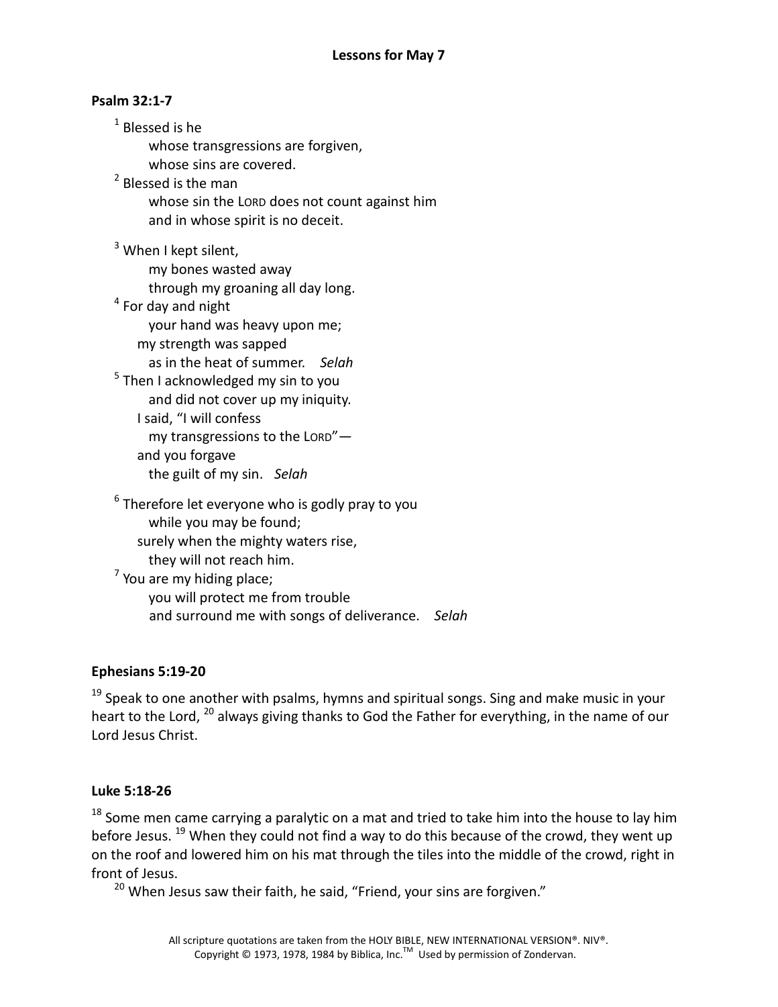### Psalm 32:1-7

 $1$  Blessed is he

whose transgressions are forgiven,

whose sins are covered.

<sup>2</sup> Blessed is the man

whose sin the LORD does not count against him and in whose spirit is no deceit.

<sup>3</sup> When I kept silent,

my bones wasted away

through my groaning all day long.

 $<sup>4</sup>$  For day and night</sup>

your hand was heavy upon me;

my strength was sapped

as in the heat of summer. Selah

<sup>5</sup> Then I acknowledged my sin to you and did not cover up my iniquity.

I said, "I will confess my transgressions to the LORD" and you forgave the guilt of my sin. Selah

 $^6$  Therefore let everyone who is godly pray to you while you may be found; surely when the mighty waters rise, they will not reach him.  $<sup>7</sup>$  You are my hiding place;</sup>

you will protect me from trouble and surround me with songs of deliverance. Selah

## Ephesians 5:19-20

 $19$  Speak to one another with psalms, hymns and spiritual songs. Sing and make music in your heart to the Lord, <sup>20</sup> always giving thanks to God the Father for everything, in the name of our Lord Jesus Christ.

#### Luke 5:18-26

 $18$  Some men came carrying a paralytic on a mat and tried to take him into the house to lay him before Jesus. <sup>19</sup> When they could not find a way to do this because of the crowd, they went up on the roof and lowered him on his mat through the tiles into the middle of the crowd, right in front of Jesus.

<sup>20</sup> When Jesus saw their faith, he said, "Friend, your sins are forgiven."